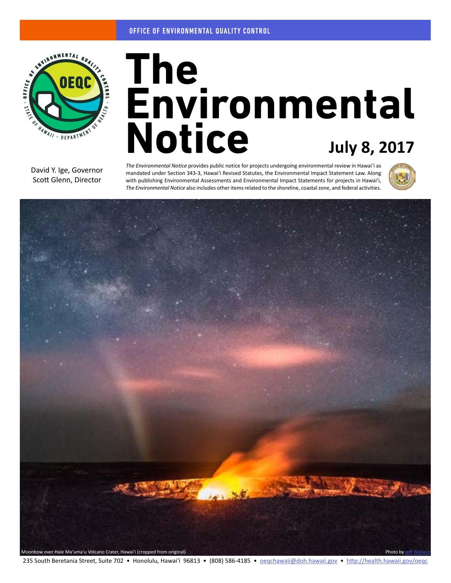

# **July 8, 2017**

David Y. Ige, Governor Scott Glenn, Director

*The Environmental Notice* provides public notice for projects undergoing environmental review in Hawaiʻi as mandated under Section 343-3, Hawaiʻi Revised Statutes, the Environmental Impact Statement Law. Along with publishing Environmental Assessments and Environmental Impact Statements for projects in Hawaiʻi, *The Environmental Notice* also includes other items related to the shoreline, coastal zone, and federal activities.





235 South Beretania Street, Suite 702 • Honolulu, Hawai'i 96813 • (808) 586-4185 • [oeqchawaii@doh.hawaii.gov](mailto:oeqchawaii%40doh.hawaii.gov?subject=) • <http://health.hawaii.gov/oeqc>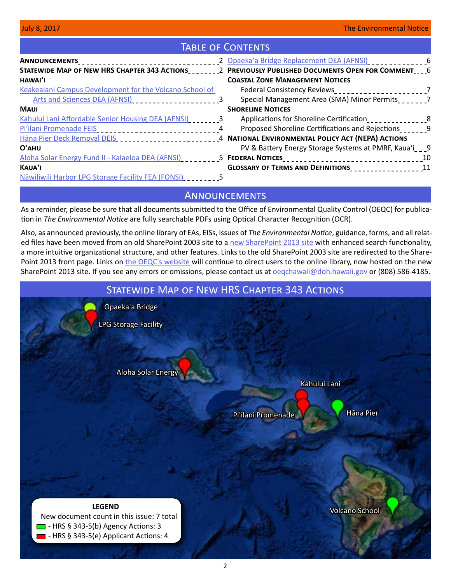# TABLE OF CONTENTS

|                                                                                                           | 2 Opaeka'a Bridge Replacement DEA (AFNSI)                                                                      |
|-----------------------------------------------------------------------------------------------------------|----------------------------------------------------------------------------------------------------------------|
|                                                                                                           |                                                                                                                |
| HAWAI'I                                                                                                   | <b>COASTAL ZONE MANAGEMENT NOTICES</b>                                                                         |
| Keakealani Campus Development for the Volcano School of                                                   |                                                                                                                |
| Arts and Sciences DEA (AFNSI) ________________________3                                                   | Special Management Area (SMA) Minor Permits                                                                    |
| <b>MAUI</b>                                                                                               | <b>SHORELINE NOTICES</b>                                                                                       |
| Kahului Lani Affordable Senior Housing DEA (AFNSI)                                                        | Applications for Shoreline Certification                                                                       |
| Pi'ilani Promenade FEIS<br>experiences and product and Promence of the FEIS                               | Proposed Shoreline Certifications and Rejections 2008                                                          |
| Häna Pier Deck Removal DEIS ___________________________4 NATIONAL ENVIRONMENTAL POLICY ACT (NEPA) ACTIONS |                                                                                                                |
| O'AHU                                                                                                     | PV & Battery Energy Storage Systems at PMRF, Kaua'i_ _ _9                                                      |
|                                                                                                           | Aloha Solar Energy Fund II - Kalaeloa DEA (AFNSI) _________5 FEDERAL NOTICES________________________________10 |
| KAUA'I                                                                                                    | GLOSSARY OF TERMS AND DEFINITIONS_____________________11                                                       |
| Nāwiliwili Harbor LPG Storage Facility FEA (FONSI)                                                        |                                                                                                                |

# **ANNOUNCEMENTS**

As a reminder, please be sure that all documents submitted to the Office of Environmental Quality Control (OEQC) for publication in *The Environmental Notice* are fully searchable PDFs using Optical Character Recognition (OCR).

Also, as announced previously, the online library of EAs, EISs, issues of *The Environmental Notice*, guidance, forms, and all related files have been moved from an old SharePoint 2003 site to a [new SharePoint 2013 site](http://oeqc2.doh.hawaii.gov) with enhanced search functionality, a more intuitive organizational structure, and other features. Links to the old SharePoint 2003 site are redirected to the SharePoint 2013 front page. Links on [the OEQC's website](http://health.hawaii.gov/oeqc/) will continue to direct users to the online library, now hosted on the new SharePoint 2013 site. If you see any errors or omissions, please contact us at **oegchawaii@doh.hawaii.gov** or (808) 586-4185.

# **LEGEND** New document count in this issue: 7 total  $\Box$  - HRS § 343-5(b) Agency Actions: 3 - HRS § 343-5(e) Applicant Actions: 4 Statewide Map of New HRS Chapter 343 Actions [Aloha Solar Energy](#page-4-0) [LPG Storage Facility](#page-4-0) [Hāna Pier](#page-3-0) [Kahului Lani](#page-2-0) [Volcano School](#page-2-0) [Opaeka'a Bridge](#page-5-0) [Pi'ilani Promenade](#page-3-0)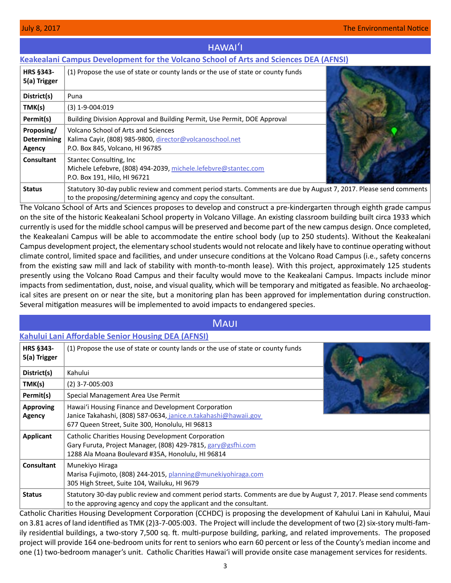# hawaiʻi

# <span id="page-2-0"></span>**[Keakealani Campus Development for the Volcano School of Arts and Sciences DEA \(AFNSI\)](http://oeqc2.doh.hawaii.gov/EA_EIS_Library/2017-07-08-HA-DEA-Volcano-School-Keakealani-Campus-Development.pdf)**

| <b>HRS §343-</b><br>5(a) Trigger           | (1) Propose the use of state or county lands or the use of state or county funds                                                                                                   |  |
|--------------------------------------------|------------------------------------------------------------------------------------------------------------------------------------------------------------------------------------|--|
| District(s)                                | Puna                                                                                                                                                                               |  |
| TMK(s)                                     | $(3)$ 1-9-004:019                                                                                                                                                                  |  |
| Permit(s)                                  | Building Division Approval and Building Permit, Use Permit, DOE Approval                                                                                                           |  |
| Proposing/<br><b>Determining</b><br>Agency | Volcano School of Arts and Sciences<br>Kalima Cayir, (808) 985-9800, director@volcanoschool.net<br>P.O. Box 845, Volcano, HI 96785                                                 |  |
| Consultant                                 | Stantec Consulting, Inc.<br>Michele Lefebvre, (808) 494-2039, michele.lefebvre@stantec.com<br>P.O. Box 191, Hilo, HI 96721                                                         |  |
| <b>Status</b>                              | Statutory 30-day public review and comment period starts. Comments are due by August 7, 2017. Please send comments<br>to the proposing/determining agency and copy the consultant. |  |

The Volcano School of Arts and Sciences proposes to develop and construct a pre-kindergarten through eighth grade campus on the site of the historic Keakealani School property in Volcano Village. An existing classroom building built circa 1933 which currently is used for the middle school campus will be preserved and become part of the new campus design. Once completed, the Keakealani Campus will be able to accommodate the entire school body (up to 250 students). Without the Keakealani Campus development project, the elementary school students would not relocate and likely have to continue operating without climate control, limited space and facilities, and under unsecure conditions at the Volcano Road Campus (i.e., safety concerns from the existing saw mill and lack of stability with month-to-month lease). With this project, approximately 125 students presently using the Volcano Road Campus and their faculty would move to the Keakealani Campus. Impacts include minor impacts from sedimentation, dust, noise, and visual quality, which will be temporary and mitigated as feasible. No archaeological sites are present on or near the site, but a monitoring plan has been approved for implementation during construction. Several mitigation measures will be implemented to avoid impacts to endangered species.

# **MAUI**

# **[Kahului Lani Affordable Senior Housing DEA \(AFNSI\)](http://oeqc2.doh.hawaii.gov/EA_EIS_Library/2017-07-08-MA-DEA-Kahului-Lani-Senior-Affordable-Housing.pdf)**

| <b>HRS §343-</b><br>5(a) Trigger | (1) Propose the use of state or county lands or the use of state or county funds                                                                                                         |  |
|----------------------------------|------------------------------------------------------------------------------------------------------------------------------------------------------------------------------------------|--|
| District(s)                      | Kahului                                                                                                                                                                                  |  |
| TMK(s)                           | $(2)$ 3-7-005:003                                                                                                                                                                        |  |
| Permit(s)                        | Special Management Area Use Permit                                                                                                                                                       |  |
| <b>Approving</b><br>Agency       | Hawai'i Housing Finance and Development Corporation<br>Janice Takahashi, (808) 587-0634, janice.n.takahashi@hawaii.gov<br>677 Queen Street, Suite 300, Honolulu, HI 96813                |  |
| <b>Applicant</b>                 | Catholic Charities Housing Development Corporation<br>Gary Furuta, Project Manager, (808) 429-7815, gary@gsfhi.com<br>1288 Ala Moana Boulevard #35A, Honolulu, HI 96814                  |  |
| <b>Consultant</b>                | Munekiyo Hiraga<br>Marisa Fujimoto, (808) 244-2015, planning@munekiyohiraga.com<br>305 High Street, Suite 104, Wailuku, HI 9679                                                          |  |
| <b>Status</b>                    | Statutory 30-day public review and comment period starts. Comments are due by August 7, 2017. Please send comments<br>to the approving agency and copy the applicant and the consultant. |  |

Catholic Charities Housing Development Corporation (CCHDC) is proposing the development of Kahului Lani in Kahului, Maui on 3.81 acres of land identified as TMK (2)3-7-005:003. The Project will include the development of two (2) six-story multi-family residential buildings, a two-story 7,500 sq. ft. multi-purpose building, parking, and related improvements. The proposed project will provide 164 one-bedroom units for rent to seniors who earn 60 percent or less of the County's median income and one (1) two-bedroom manager's unit. Catholic Charities Hawai'i will provide onsite case management services for residents.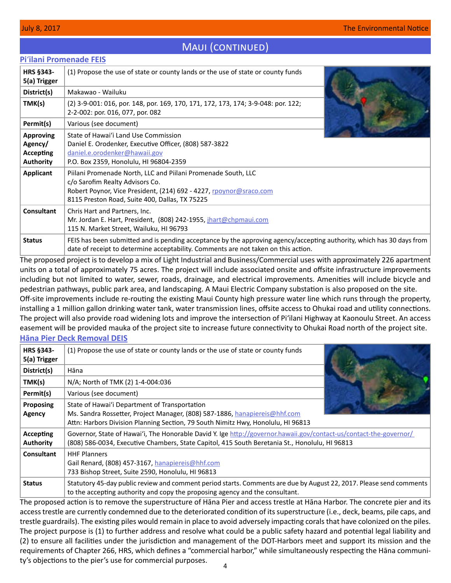# MAUI (CONTINUED)

# <span id="page-3-0"></span>**Pi**ʻ**[ilani Promenade FEIS](http://oeqc2.doh.hawaii.gov/EA_EIS_Library/2017-07-08-MA-FEIS-Piilani-Promenade.pdf)**

| <b>HRS §343-</b><br>5(a) Trigger                                    | (1) Propose the use of state or county lands or the use of state or county funds                                                                                                                                         |  |
|---------------------------------------------------------------------|--------------------------------------------------------------------------------------------------------------------------------------------------------------------------------------------------------------------------|--|
| District(s)                                                         | Makawao - Wailuku                                                                                                                                                                                                        |  |
| TMK(s)                                                              | (2) 3-9-001: 016, por. 148, por. 169, 170, 171, 172, 173, 174; 3-9-048: por. 122;<br>2-2-002: por. 016, 077, por. 082                                                                                                    |  |
| Permit(s)                                                           | Various (see document)                                                                                                                                                                                                   |  |
| <b>Approving</b><br>Agency/<br><b>Accepting</b><br><b>Authority</b> | State of Hawai'i Land Use Commission<br>Daniel E. Orodenker, Executive Officer, (808) 587-3822<br>daniel.e.orodenker@hawaii.gov<br>P.O. Box 2359, Honolulu, HI 96804-2359                                                |  |
| Applicant                                                           | Piilani Promenade North, LLC and Piilani Promenade South, LLC<br>c/o Sarofim Realty Advisors Co.<br>Robert Poynor, Vice President, (214) 692 - 4227, rpoynor@sraco.com<br>8115 Preston Road, Suite 400, Dallas, TX 75225 |  |
| <b>Consultant</b>                                                   | Chris Hart and Partners, Inc.<br>Mr. Jordan E. Hart, President, (808) 242-1955, jhart@chpmaui.com<br>115 N. Market Street, Wailuku, HI 96793                                                                             |  |
| <b>Status</b>                                                       | FEIS has been submitted and is pending acceptance by the approving agency/accepting authority, which has 30 days from<br>date of receipt to determine acceptability. Comments are not taken on this action.              |  |

The proposed project is to develop a mix of Light Industrial and Business/Commercial uses with approximately 226 apartment units on a total of approximately 75 acres. The project will include associated onsite and offsite infrastructure improvements including but not limited to water, sewer, roads, drainage, and electrical improvements. Amenities will include bicycle and pedestrian pathways, public park area, and landscaping. A Maui Electric Company substation is also proposed on the site. Off-site improvements include re-routing the existing Maui County high pressure water line which runs through the property, installing a 1 million gallon drinking water tank, water transmission lines, offsite access to Ohukai road and utility connections. The project will also provide road widening lots and improve the intersection of Pi'ilani Highway at Kaonoulu Street. An access easement will be provided mauka of the project site to increase future connectivity to Ohukai Road north of the project site.

# **Hāna [Pier Deck Removal DEIS](http://oeqc2.doh.hawaii.gov/EA_EIS_Library/2017-07-08-MA-DEIS-Hana-Pier-Deck-Removal.pdf)**

| <b>HRS §343-</b><br>5(a) Trigger | (1) Propose the use of state or county lands or the use of state or county funds                                                                                                                                     |  |
|----------------------------------|----------------------------------------------------------------------------------------------------------------------------------------------------------------------------------------------------------------------|--|
| District(s)                      | Hāna                                                                                                                                                                                                                 |  |
| TMK(s)                           | N/A; North of TMK (2) 1-4-004:036                                                                                                                                                                                    |  |
| Permit(s)                        | Various (see document)                                                                                                                                                                                               |  |
| Proposing<br>Agency              | State of Hawai'i Department of Transportation<br>Ms. Sandra Rossetter, Project Manager, (808) 587-1886, hanapiereis@hhf.com<br>Attn: Harbors Division Planning Section, 79 South Nimitz Hwy, Honolulu, HI 96813      |  |
| Accepting<br><b>Authority</b>    | Governor, State of Hawai'i, The Honorable David Y. Ige http://governor.hawaii.gov/contact-us/contact-the-governor/<br>(808) 586-0034, Executive Chambers, State Capitol, 415 South Beretania St., Honolulu, HI 96813 |  |
| Consultant                       | <b>HHF Planners</b><br>Gail Renard, (808) 457-3167, hanapiereis@hhf.com<br>733 Bishop Street, Suite 2590, Honolulu, HI 96813                                                                                         |  |
| <b>Status</b>                    | Statutory 45-day public review and comment period starts. Comments are due by August 22, 2017. Please send comments<br>to the accepting authority and copy the proposing agency and the consultant.                  |  |

The proposed action is to remove the superstructure of Hāna Pier and access trestle at Hāna Harbor. The concrete pier and its access trestle are currently condemned due to the deteriorated condition of its superstructure (i.e., deck, beams, pile caps, and trestle guardrails). The existing piles would remain in place to avoid adversely impacting corals that have colonized on the piles. The project purpose is (1) to further address and resolve what could be a public safety hazard and potential legal liability and (2) to ensure all facilities under the jurisdiction and management of the DOT-Harbors meet and support its mission and the requirements of Chapter 266, HRS, which defines a "commercial harbor," while simultaneously respecting the Hāna community's objections to the pier's use for commercial purposes.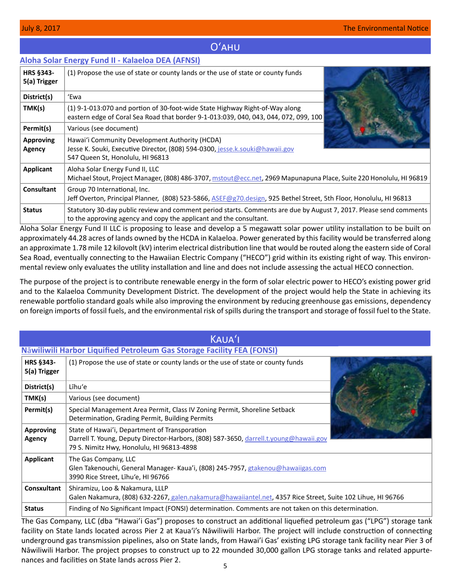# Oʻahu

# <span id="page-4-0"></span>**[Aloha Solar Energy Fund II - Kalaeloa DEA \(AFNSI\)](http://oeqc2.doh.hawaii.gov/EA_EIS_Library/2017-07-08-OA-DEA-Aloha-Solar-Energy-Fund-II-Kalaeloa.pdf)**

| HRS §343-<br>5(a) Trigger  | (1) Propose the use of state or county lands or the use of state or county funds                                                                                                         |  |
|----------------------------|------------------------------------------------------------------------------------------------------------------------------------------------------------------------------------------|--|
| District(s)                | 'Ewa                                                                                                                                                                                     |  |
| TMK(s)                     | (1) 9-1-013:070 and portion of 30-foot-wide State Highway Right-of-Way along<br>eastern edge of Coral Sea Road that border 9-1-013:039, 040, 043, 044, 072, 099, 100                     |  |
| Permit(s)                  | Various (see document)                                                                                                                                                                   |  |
| <b>Approving</b><br>Agency | Hawai'i Community Development Authority (HCDA)<br>Jesse K. Souki, Executive Director, (808) 594-0300, jesse.k.souki@hawaii.gov<br>547 Queen St, Honolulu, HI 96813                       |  |
| Applicant                  | Aloha Solar Energy Fund II, LLC<br>Michael Stout, Project Manager, (808) 486-3707, mstout@ecc.net, 2969 Mapunapuna Place, Suite 220 Honolulu, HI 96819                                   |  |
| <b>Consultant</b>          | Group 70 International, Inc.<br>Jeff Overton, Principal Planner, (808) 523-5866, ASEF@g70.design, 925 Bethel Street, 5th Floor, Honolulu, HI 96813                                       |  |
| <b>Status</b>              | Statutory 30-day public review and comment period starts. Comments are due by August 7, 2017. Please send comments<br>to the approving agency and copy the applicant and the consultant. |  |

Aloha Solar Energy Fund II LLC is proposing to lease and develop a 5 megawatt solar power utility installation to be built on approximately 44.28 acres of lands owned by the HCDA in Kalaeloa. Power generated by this facility would be transferred along an approximate 1.78 mile 12 kilovolt (kV) interim electrical distribution line that would be routed along the eastern side of Coral Sea Road, eventually connecting to the Hawaiian Electric Company ("HECO") grid within its existing right of way. This environmental review only evaluates the utility installation and line and does not include assessing the actual HECO connection.

The purpose of the project is to contribute renewable energy in the form of solar electric power to HECO's existing power grid and to the Kalaeloa Community Development District. The development of the project would help the State in achieving its renewable portfolio standard goals while also improving the environment by reducing greenhouse gas emissions, dependency on foreign imports of fossil fuels, and the environmental risk of spills during the transport and storage of fossil fuel to the State.

| <b>KAUA'I</b>              |                                                                                                                                                                                                                            |  |  |  |
|----------------------------|----------------------------------------------------------------------------------------------------------------------------------------------------------------------------------------------------------------------------|--|--|--|
|                            | <b>Nāwiliwili Harbor Liquified Petroleum Gas Storage Facility FEA (FONSI)</b>                                                                                                                                              |  |  |  |
| HRS §343-<br>5(a) Trigger  | (1) Propose the use of state or county lands or the use of state or county funds                                                                                                                                           |  |  |  |
| District(s)                | Līhu'e                                                                                                                                                                                                                     |  |  |  |
| TMK(s)                     | Various (see document)                                                                                                                                                                                                     |  |  |  |
| Permit(s)                  | Special Management Area Permit, Class IV Zoning Permit, Shoreline Setback<br>Determination, Grading Permit, Building Permits                                                                                               |  |  |  |
| <b>Approving</b><br>Agency | State of Hawai'i, Department of Transporation<br>Darrell T. Young, Deputy Director-Harbors, (808) 587-3650, darrell.t.young@hawaii.gov<br>79 S. Nimitz Hwy, Honolulu, HI 96813-4898                                        |  |  |  |
| Applicant                  | The Gas Company, LLC<br>Glen Takenouchi, General Manager- Kaua'i, (808) 245-7957, gtakenou@hawaiigas.com<br>3990 Rice Street, Lihu'e, HI 96766                                                                             |  |  |  |
| <b>Consxultant</b>         | Shiramizu, Loo & Nakamura, LLLP<br>Galen Nakamura, (808) 632-2267, galen.nakamura@hawaiiantel.net, 4357 Rice Street, Suite 102 Lihue, HI 96766                                                                             |  |  |  |
| <b>Status</b>              | Finding of No Significant Impact (FONSI) determination. Comments are not taken on this determination.<br>$\mathbf{r}$ and $\mathbf{r}$ are the set of the set of $\mathbf{r}$ and $\mathbf{r}$ are the set of $\mathbf{r}$ |  |  |  |

The Gas Company, LLC (dba "Hawai'i Gas") proposes to construct an additional liquefied petroleum gas ("LPG") storage tank facility on State lands located across Pier 2 at Kauaʻi's Nāwiliwili Harbor. The project will include construction of connecting underground gas transmission pipelines, also on State lands, from Hawai'i Gas' existing LPG storage tank facility near Pier 3 of Nāwiliwili Harbor. The project propses to construct up to 22 mounded 30,000 gallon LPG storage tanks and related appurtenances and facilities on State lands across Pier 2.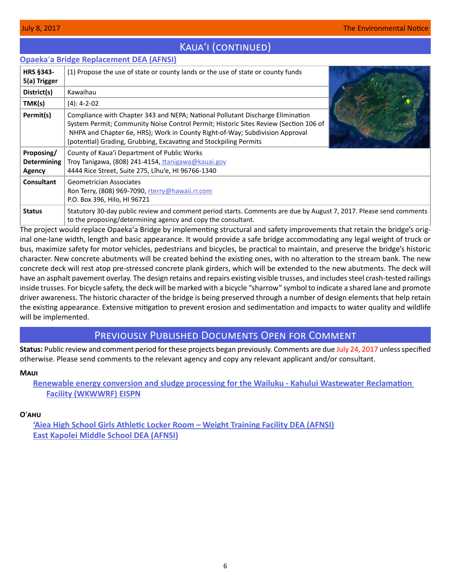<span id="page-5-0"></span>

|                                            | <b>Opaeka'a Bridge Replacement DEA (AFNSI)</b>                                                                                                                                                                                                                                                                              |  |
|--------------------------------------------|-----------------------------------------------------------------------------------------------------------------------------------------------------------------------------------------------------------------------------------------------------------------------------------------------------------------------------|--|
| <b>HRS §343-</b><br>5(a) Trigger           | (1) Propose the use of state or county lands or the use of state or county funds                                                                                                                                                                                                                                            |  |
| District(s)                                | Kawaihau                                                                                                                                                                                                                                                                                                                    |  |
| TMK(s)                                     | $(4): 4 - 2 - 02$                                                                                                                                                                                                                                                                                                           |  |
| Permit(s)                                  | Compliance with Chapter 343 and NEPA; National Pollutant Discharge Elimination<br>System Permit; Community Noise Control Permit; Historic Sites Review (Section 106 of<br>NHPA and Chapter 6e, HRS); Work in County Right-of-Way; Subdivision Approval<br>(potential) Grading, Grubbing, Excavating and Stockpiling Permits |  |
| Proposing/<br><b>Determining</b><br>Agency | County of Kaua'i Department of Public Works<br>Troy Tanigawa, (808) 241-4154, tranigawa@kauai.gov<br>4444 Rice Street, Suite 275, Lihu'e, HI 96766-1340                                                                                                                                                                     |  |
| <b>Consultant</b>                          | <b>Geometrician Associates</b><br>Ron Terry, (808) 969-7090, rterry@hawaii.rr.com<br>P.O. Box 396, Hilo, HI 96721                                                                                                                                                                                                           |  |
| <b>Status</b>                              | Statutory 30-day public review and comment period starts. Comments are due by August 7, 2017. Please send comments<br>to the proposing/determining agency and copy the consultant.                                                                                                                                          |  |

Kauaʻi (continued)

The project would replace Opaekaʻa Bridge by implementing structural and safety improvements that retain the bridge's original one-lane width, length and basic appearance. It would provide a safe bridge accommodating any legal weight of truck or bus, maximize safety for motor vehicles, pedestrians and bicycles, be practical to maintain, and preserve the bridge's historic character. New concrete abutments will be created behind the existing ones, with no alteration to the stream bank. The new concrete deck will rest atop pre-stressed concrete plank girders, which will be extended to the new abutments. The deck will have an asphalt pavement overlay. The design retains and repairs existing visible trusses, and includes steel crash-tested railings inside trusses. For bicycle safety, the deck will be marked with a bicycle "sharrow" symbol to indicate a shared lane and promote driver awareness. The historic character of the bridge is being preserved through a number of design elements that help retain the existing appearance. Extensive mitigation to prevent erosion and sedimentation and impacts to water quality and wildlife will be implemented.

# Previously Published Documents Open for Comment

**Status:** Public review and comment period for these projects began previously. Comments are due July 24, 2017 unless specified otherwise. Please send comments to the relevant agency and copy any relevant applicant and/or consultant.

### **Maui**

**[Renewable energy conversion and sludge processing for the Wailuku - Kahului Wastewater Reclamation](http://oeqc2.doh.hawaii.gov/EA_EIS_Library/2017-06-23-MA-EISPN-Renewable-Energy-Conversion-and-Sludge-Processing-for-the-Wailuku-Kahului-WWRF.pdf)  [Facility \(WKWWRF\) EISPN](http://oeqc2.doh.hawaii.gov/EA_EIS_Library/2017-06-23-MA-EISPN-Renewable-Energy-Conversion-and-Sludge-Processing-for-the-Wailuku-Kahului-WWRF.pdf)**

### **O**ʻ**ahu**

**['Aiea High School Girls Athletic Locker Room – Weight Training Facility DEA \(AFNSI\)](http://oeqc2.doh.hawaii.gov/EA_EIS_Library/2017-06-23-OA-DEA-Aiea-High-Girls-Locker-Room.pdf) [East Kapolei Middle School DEA \(AFNSI\)](http://oeqc2.doh.hawaii.gov/EA_EIS_Library/2017-06-23-OA-DEA-East-Kapolei-Middle-School.pdf)**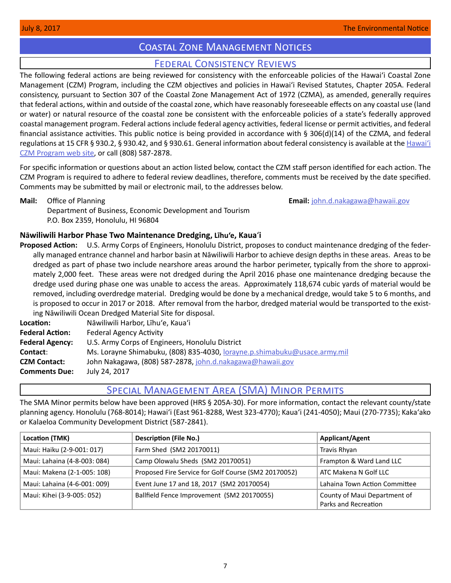# Coastal Zone Management Notices

# Federal Consistency Reviews

<span id="page-6-0"></span>The following federal actions are being reviewed for consistency with the enforceable policies of the Hawaiʻi Coastal Zone Management (CZM) Program, including the CZM objectives and policies in Hawaiʻi Revised Statutes, Chapter 205A. Federal consistency, pursuant to Section 307 of the Coastal Zone Management Act of 1972 (CZMA), as amended, generally requires that federal actions, within and outside of the coastal zone, which have reasonably foreseeable effects on any coastal use (land or water) or natural resource of the coastal zone be consistent with the enforceable policies of a state's federally approved coastal management program. Federal actions include federal agency activities, federal license or permit activities, and federal financial assistance activities. This public notice is being provided in accordance with § 306(d)(14) of the CZMA, and federal regulations at 15 CFR § 930.2, § 930.42, and § 930.61. General information about federal consistency is available at the [Hawai](http://planning.hawaii.gov/czm/federal-consistency/)ʻi [CZM Program web site,](http://planning.hawaii.gov/czm/federal-consistency/) or call (808) 587-2878.

For specific information or questions about an action listed below, contact the CZM staff person identified for each action. The CZM Program is required to adhere to federal review deadlines, therefore, comments must be received by the date specified. Comments may be submitted by mail or electronic mail, to the addresses below.

**Mail:** Office of Planning **Email:** [john.d.nakagawa@hawaii.gov](mailto:john.d.nakagawa@hawaii.gov) Department of Business, Economic Development and Tourism P.O. Box 2359, Honolulu, HI 96804

### **Nāwiliwili Harbor Phase Two Maintenance Dredging, Līhu'e, Kaua**ʻ**i**

**Proposed Action:** U.S. Army Corps of Engineers, Honolulu District, proposes to conduct maintenance dredging of the federally managed entrance channel and harbor basin at Nāwiliwili Harbor to achieve design depths in these areas. Areas to be dredged as part of phase two include nearshore areas around the harbor perimeter, typically from the shore to approximately 2,000 feet. These areas were not dredged during the April 2016 phase one maintenance dredging because the dredge used during phase one was unable to access the areas. Approximately 118,674 cubic yards of material would be removed, including overdredge material. Dredging would be done by a mechanical dredge, would take 5 to 6 months, and is proposed to occur in 2017 or 2018. After removal from the harbor, dredged material would be transported to the existing Nāwiliwili Ocean Dredged Material Site for disposal.

**Location:** Nāwiliwili Harbor, Līhuʻe, Kauaʻi **Federal Action:** Federal Agency Activity **Federal Agency:** U.S. Army Corps of Engineers, Honolulu District **Contact**: Ms. Lorayne Shimabuku, (808) 835-4030, [lorayne.p.shimabuku@usace.army.mil](mailto:lorayne.p.shimabuku@usace.army.mil ) **CZM Contact:** John Nakagawa, (808) 587-2878, [john.d.nakagawa@hawaii.gov](mailto:john.d.nakagawa@hawaii.gov) **Comments Due:** July 24, 2017

# Special Management Area (SMA) Minor Permits

The SMA Minor permits below have been approved (HRS § 205A-30). For more information, contact the relevant county/state planning agency. Honolulu (768-8014); Hawaiʻi (East 961-8288, West 323-4770); Kauaʻi (241-4050); Maui (270-7735); Kakaʻako or Kalaeloa Community Development District (587-2841).

| Location (TMK)               | <b>Description (File No.)</b>                        | <b>Applicant/Agent</b>                               |
|------------------------------|------------------------------------------------------|------------------------------------------------------|
| Maui: Haiku (2-9-001: 017)   | Farm Shed (SM2 20170011)                             | Travis Rhyan                                         |
| Maui: Lahaina (4-8-003: 084) | Camp Olowalu Sheds (SM2 20170051)                    | Frampton & Ward Land LLC                             |
| Maui: Makena (2-1-005: 108)  | Proposed Fire Service for Golf Course (SM2 20170052) | ATC Makena N Golf LLC                                |
| Maui: Lahaina (4-6-001: 009) | Event June 17 and 18, 2017 (SM2 20170054)            | Lahaina Town Action Committee                        |
| Maui: Kihei (3-9-005: 052)   | Ballfield Fence Improvement (SM2 20170055)           | County of Maui Department of<br>Parks and Recreation |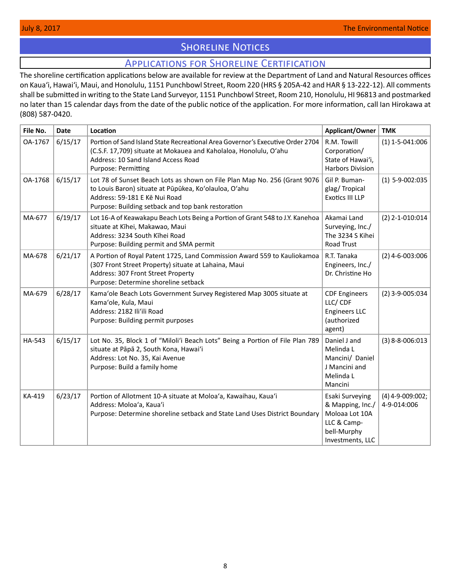# **SHORELINE NOTICES**

# Applications for Shoreline Certification

<span id="page-7-0"></span>The shoreline certification applications below are available for review at the Department of Land and Natural Resources offices on Kauaʻi, Hawaiʻi, Maui, and Honolulu, 1151 Punchbowl Street, Room 220 (HRS § 205A-42 and HAR § 13-222-12). All comments shall be submitted in writing to the State Land Surveyor, 1151 Punchbowl Street, Room 210, Honolulu, HI 96813 and postmarked no later than 15 calendar days from the date of the public notice of the application. For more information, call Ian Hirokawa at (808) 587-0420.

| File No. | <b>Date</b> | Location                                                                                                                                                                                                                  | Applicant/Owner                                                                                         | <b>TMK</b>                        |
|----------|-------------|---------------------------------------------------------------------------------------------------------------------------------------------------------------------------------------------------------------------------|---------------------------------------------------------------------------------------------------------|-----------------------------------|
| OA-1767  | 6/15/17     | Portion of Sand Island State Recreational Area Governor's Executive Order 2704<br>(C.S.F. 17,709) situate at Mokauea and Kaholaloa, Honolulu, O'ahu<br>Address: 10 Sand Island Access Road<br><b>Purpose: Permitting</b>  | R.M. Towill<br>Corporation/<br>State of Hawai'i,<br>Harbors Division                                    | $(1)$ 1-5-041:006                 |
| OA-1768  | 6/15/17     | Lot 78 of Sunset Beach Lots as shown on File Plan Map No. 256 (Grant 9076<br>to Louis Baron) situate at Pūpūkea, Ko'olauloa, O'ahu<br>Address: 59-181 E Kē Nui Road<br>Purpose: Building setback and top bank restoration | Gil P. Buman-<br>glag/Tropical<br><b>Exotics III LLP</b>                                                | $(1)$ 5-9-002:035                 |
| MA-677   | 6/19/17     | Lot 16-A of Keawakapu Beach Lots Being a Portion of Grant 548 to J.Y. Kanehoa<br>situate at Kīhei, Makawao, Maui<br>Address: 3234 South Kihei Road<br>Purpose: Building permit and SMA permit                             | Akamai Land<br>Surveying, Inc./<br>The 3234 S Kihei<br>Road Trust                                       | $(2)$ 2-1-010:014                 |
| MA-678   | 6/21/17     | A Portion of Royal Patent 1725, Land Commission Award 559 to Kauliokamoa<br>(307 Front Street Property) situate at Lahaina, Maui<br>Address: 307 Front Street Property<br>Purpose: Determine shoreline setback            | R.T. Tanaka<br>Engineers, Inc./<br>Dr. Christine Ho                                                     | $(2)$ 4-6-003:006                 |
| MA-679   | 6/28/17     | Kama'ole Beach Lots Government Survey Registered Map 3005 situate at<br>Kama'ole, Kula, Maui<br>Address: 2182 Ili'ili Road<br>Purpose: Building permit purposes                                                           | <b>CDF Engineers</b><br>LLC/CDF<br><b>Engineers LLC</b><br>(authorized<br>agent)                        | $(2)$ 3-9-005:034                 |
| HA-543   | 6/15/17     | Lot No. 35, Block 1 of "Miloli'i Beach Lots" Being a Portion of File Plan 789<br>situate at Pāpā 2, South Kona, Hawai'i<br>Address: Lot No. 35, Kai Avenue<br>Purpose: Build a family home                                | Daniel J and<br>Melinda L<br>Mancini/ Daniel<br>J Mancini and<br>Melinda L<br>Mancini                   | $(3)$ 8-8-006:013                 |
| KA-419   | 6/23/17     | Portion of Allotment 10-A situate at Moloa'a, Kawaihau, Kaua'i<br>Address: Moloa'a, Kaua'i<br>Purpose: Determine shoreline setback and State Land Uses District Boundary                                                  | Esaki Surveying<br>& Mapping, Inc./<br>Moloaa Lot 10A<br>LLC & Camp-<br>bell-Murphy<br>Investments, LLC | $(4)$ 4-9-009:002;<br>4-9-014:006 |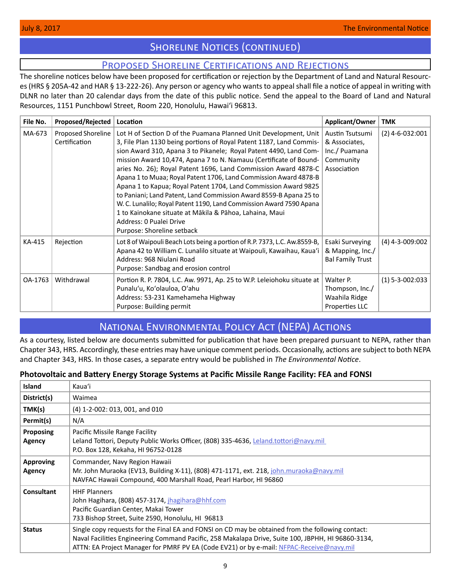# **SHORELINE NOTICES (CONTINUED)**

# Proposed Shoreline Certifications and Rejections

<span id="page-8-0"></span>The shoreline notices below have been proposed for certification or rejection by the Department of Land and Natural Resources (HRS § 205A-42 and HAR § 13-222-26). Any person or agency who wants to appeal shall file a notice of appeal in writing with DLNR no later than 20 calendar days from the date of this public notice. Send the appeal to the Board of Land and Natural Resources, 1151 Punchbowl Street, Room 220, Honolulu, Hawai'i 96813.

| File No. | Proposed/Rejected                   | Location                                                                                                                                                                                                                                                                                                                                                                                                                                                                                                                                                                                                                                                                                                                                                   | Applicant/Owner                                                               | <b>TMK</b>        |
|----------|-------------------------------------|------------------------------------------------------------------------------------------------------------------------------------------------------------------------------------------------------------------------------------------------------------------------------------------------------------------------------------------------------------------------------------------------------------------------------------------------------------------------------------------------------------------------------------------------------------------------------------------------------------------------------------------------------------------------------------------------------------------------------------------------------------|-------------------------------------------------------------------------------|-------------------|
| MA-673   | Proposed Shoreline<br>Certification | Lot H of Section D of the Puamana Planned Unit Development, Unit<br>3, File Plan 1130 being portions of Royal Patent 1187, Land Commis-<br>sion Award 310, Apana 3 to Pikanele; Royal Patent 4490, Land Com-<br>mission Award 10,474, Apana 7 to N. Namauu (Certificate of Bound-<br>aries No. 26); Royal Patent 1696, Land Commission Award 4878-C<br>Apana 1 to Muaa; Royal Patent 1706, Land Commission Award 4878-B<br>Apana 1 to Kapua; Royal Patent 1704, Land Commission Award 9825<br>to Paniani; Land Patent, Land Commission Award 8559-B Apana 25 to<br>W. C. Lunalilo; Royal Patent 1190, Land Commission Award 7590 Apana<br>1 to Kainokane situate at Mākila & Pāhoa, Lahaina, Maui<br>Address: 0 Pualei Drive<br>Purpose: Shoreline setback | Austin Tsutsumi<br>& Associates,<br>Inc./ Puamana<br>Community<br>Association | $(2)$ 4-6-032:001 |
| KA-415   | Rejection                           | Lot 8 of Waipouli Beach Lots being a portion of R.P. 7373, L.C. Aw.8559-B,<br>Apana 42 to William C. Lunalilo situate at Waipouli, Kawaihau, Kaua'i<br>Address: 968 Niulani Road<br>Purpose: Sandbag and erosion control                                                                                                                                                                                                                                                                                                                                                                                                                                                                                                                                   | Esaki Surveying<br>& Mapping, Inc./<br><b>Bal Family Trust</b>                | $(4)$ 4-3-009:002 |
| OA-1763  | Withdrawal                          | Portion R. P. 7804, L.C. Aw. 9971, Ap. 25 to W.P. Leleiohoku situate at<br>Punalu'u, Ko'olauloa, O'ahu<br>Address: 53-231 Kamehameha Highway<br>Purpose: Building permit                                                                                                                                                                                                                                                                                                                                                                                                                                                                                                                                                                                   | Walter P.<br>Thompson, Inc./<br>Waahila Ridge<br>Properties LLC               | $(1)$ 5-3-002:033 |

# National Environmental Policy Act (NEPA) Actions

As a courtesy, listed below are documents submitted for publication that have been prepared pursuant to NEPA, rather than Chapter 343, HRS. Accordingly, these entries may have unique comment periods. Occasionally, actions are subject to both NEPA and Chapter 343, HRS. In those cases, a separate entry would be published in *The Environmental Notice*.

# **Photovoltaic and Battery Energy Storage Systems at Pacific Missile Range Facility: FEA and FONSI**

| <b>Island</b>              | Kaua'i                                                                                                                                                                                                                                                                                              |
|----------------------------|-----------------------------------------------------------------------------------------------------------------------------------------------------------------------------------------------------------------------------------------------------------------------------------------------------|
| District(s)                | Waimea                                                                                                                                                                                                                                                                                              |
| TMK(s)                     | (4) 1-2-002: 013, 001, and 010                                                                                                                                                                                                                                                                      |
| Permit(s)                  | N/A                                                                                                                                                                                                                                                                                                 |
| <b>Proposing</b><br>Agency | Pacific Missile Range Facility<br>Leland Tottori, Deputy Public Works Officer, (808) 335-4636, Leland.tottori@navy.mil<br>P.O. Box 128, Kekaha, HI 96752-0128                                                                                                                                       |
| <b>Approving</b><br>Agency | Commander, Navy Region Hawaii<br>Mr. John Muraoka (EV13, Building X-11), (808) 471-1171, ext. 218, john.muraoka@navy.mil<br>NAVFAC Hawaii Compound, 400 Marshall Road, Pearl Harbor, HI 96860                                                                                                       |
| Consultant                 | <b>HHF Planners</b><br>John Hagihara, (808) 457-3174, jhagihara@hhf.com<br>Pacific Guardian Center, Makai Tower<br>733 Bishop Street, Suite 2590, Honolulu, HI 96813                                                                                                                                |
| <b>Status</b>              | Single copy requests for the Final EA and FONSI on CD may be obtained from the following contact:<br>Naval Facilities Engineering Command Pacific, 258 Makalapa Drive, Suite 100, JBPHH, HI 96860-3134,<br>ATTN: EA Project Manager for PMRF PV EA (Code EV21) or by e-mail: NFPAC-Receive@navy.mil |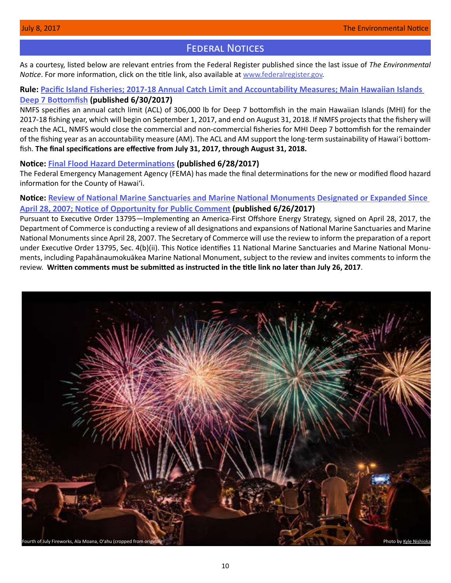# **FEDERAL NOTICES**

<span id="page-9-0"></span>As a courtesy, listed below are relevant entries from the Federal Register published since the last issue of *The Environmental Notice*. For more information, click on the title link, also available at [www.federalregister.gov.](http://www.federalregister.gov)

# **Rule: [Pacific Island Fisheries; 2017-18 Annual Catch Limit and Accountability Measures; Main Hawaiian Islands](https://www.federalregister.gov/documents/2017/06/30/2017-13681/pacific-island-fisheries-2017-18-annual-catch-limit-and-accountability-measures-main-hawaiian)  [Deep 7 Bottomfish](https://www.federalregister.gov/documents/2017/06/30/2017-13681/pacific-island-fisheries-2017-18-annual-catch-limit-and-accountability-measures-main-hawaiian) (published 6/30/2017)**

NMFS specifies an annual catch limit (ACL) of 306,000 lb for Deep 7 bottomfish in the main Hawaiian Islands (MHI) for the 2017-18 fishing year, which will begin on September 1, 2017, and end on August 31, 2018. If NMFS projects that the fishery will reach the ACL, NMFS would close the commercial and non-commercial fisheries for MHI Deep 7 bottomfish for the remainder of the fishing year as an accountability measure (AM). The ACL and AM support the long-term sustainability of Hawaiʻi bottomfish. **The final specifications are effective from July 31, 2017, through August 31, 2018.**

### **Notice: [Final Flood Hazard Determinations](https://www.federalregister.gov/documents/2017/06/28/2017-13482/final-flood-hazard-determinations) (published 6/28/2017)**

The Federal Emergency Management Agency (FEMA) has made the final determinations for the new or modified flood hazard information for the County of Hawaiʻi.

# **Notice: [Review of National Marine Sanctuaries and Marine National Monuments Designated or Expanded Since](https://www.federalregister.gov/documents/2017/06/26/2017-13308/review-of-national-marine-sanctuaries-and-marine-national-monuments-designated-or-expanded-since)  [April 28, 2007; Notice of Opportunity for Public Comment](https://www.federalregister.gov/documents/2017/06/26/2017-13308/review-of-national-marine-sanctuaries-and-marine-national-monuments-designated-or-expanded-since) (published 6/26/2017)**

Pursuant to Executive Order 13795—Implementing an America-First Offshore Energy Strategy, signed on April 28, 2017, the Department of Commerce is conducting a review of all designations and expansions of National Marine Sanctuaries and Marine National Monuments since April 28, 2007. The Secretary of Commerce will use the review to inform the preparation of a report under Executive Order 13795, Sec. 4(b)(ii). This Notice identifies 11 National Marine Sanctuaries and Marine National Monuments, including Papahānaumokuākea Marine National Monument, subject to the review and invites comments to inform the review. **Written comments must be submitted as instructed in the title link no later than July 26, 2017**.